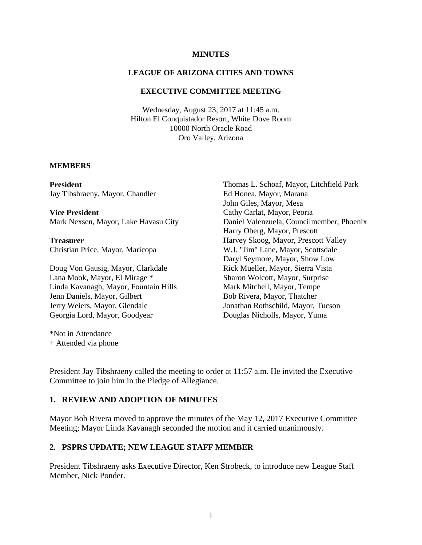#### **MINUTES**

### **LEAGUE OF ARIZONA CITIES AND TOWNS**

#### **EXECUTIVE COMMITTEE MEETING**

Wednesday, August 23, 2017 at 11:45 a.m. Hilton El Conquistador Resort, White Dove Room 10000 North Oracle Road Oro Valley, Arizona

#### **MEMBERS**

**President** Jay Tibshraeny, Mayor, Chandler

**Vice President** Mark Nexsen, Mayor, Lake Havasu City

**Treasurer** Christian Price, Mayor, Maricopa

Doug Von Gausig, Mayor, Clarkdale Lana Mook, Mayor, El Mirage \* Linda Kavanagh, Mayor, Fountain Hills Jenn Daniels, Mayor, Gilbert Jerry Weiers, Mayor, Glendale Georgia Lord, Mayor, Goodyear

Thomas L. Schoaf, Mayor, Litchfield Park Ed Honea, Mayor, Marana John Giles, Mayor, Mesa Cathy Carlat, Mayor, Peoria Daniel Valenzuela, Councilmember, Phoenix Harry Oberg, Mayor, Prescott Harvey Skoog, Mayor, Prescott Valley W.J. "Jim" Lane, Mayor, Scottsdale Daryl Seymore, Mayor, Show Low Rick Mueller, Mayor, Sierra Vista Sharon Wolcott, Mayor, Surprise Mark Mitchell, Mayor, Tempe Bob Rivera, Mayor, Thatcher Jonathan Rothschild, Mayor, Tucson Douglas Nicholls, Mayor, Yuma

\*Not in Attendance + Attended via phone

President Jay Tibshraeny called the meeting to order at 11:57 a.m. He invited the Executive Committee to join him in the Pledge of Allegiance.

#### **1. REVIEW AND ADOPTION OF MINUTES**

Mayor Bob Rivera moved to approve the minutes of the May 12, 2017 Executive Committee Meeting; Mayor Linda Kavanagh seconded the motion and it carried unanimously.

#### **2. PSPRS UPDATE; NEW LEAGUE STAFF MEMBER**

President Tibshraeny asks Executive Director, Ken Strobeck, to introduce new League Staff Member, Nick Ponder.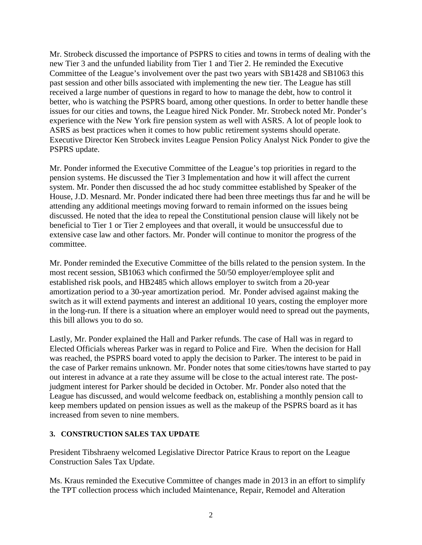Mr. Strobeck discussed the importance of PSPRS to cities and towns in terms of dealing with the new Tier 3 and the unfunded liability from Tier 1 and Tier 2. He reminded the Executive Committee of the League's involvement over the past two years with SB1428 and SB1063 this past session and other bills associated with implementing the new tier. The League has still received a large number of questions in regard to how to manage the debt, how to control it better, who is watching the PSPRS board, among other questions. In order to better handle these issues for our cities and towns, the League hired Nick Ponder. Mr. Strobeck noted Mr. Ponder's experience with the New York fire pension system as well with ASRS. A lot of people look to ASRS as best practices when it comes to how public retirement systems should operate. Executive Director Ken Strobeck invites League Pension Policy Analyst Nick Ponder to give the PSPRS update.

Mr. Ponder informed the Executive Committee of the League's top priorities in regard to the pension systems. He discussed the Tier 3 Implementation and how it will affect the current system. Mr. Ponder then discussed the ad hoc study committee established by Speaker of the House, J.D. Mesnard. Mr. Ponder indicated there had been three meetings thus far and he will be attending any additional meetings moving forward to remain informed on the issues being discussed. He noted that the idea to repeal the Constitutional pension clause will likely not be beneficial to Tier 1 or Tier 2 employees and that overall, it would be unsuccessful due to extensive case law and other factors. Mr. Ponder will continue to monitor the progress of the committee.

Mr. Ponder reminded the Executive Committee of the bills related to the pension system. In the most recent session, SB1063 which confirmed the 50/50 employer/employee split and established risk pools, and HB2485 which allows employer to switch from a 20-year amortization period to a 30-year amortization period. Mr. Ponder advised against making the switch as it will extend payments and interest an additional 10 years, costing the employer more in the long-run. If there is a situation where an employer would need to spread out the payments, this bill allows you to do so.

Lastly, Mr. Ponder explained the Hall and Parker refunds. The case of Hall was in regard to Elected Officials whereas Parker was in regard to Police and Fire. When the decision for Hall was reached, the PSPRS board voted to apply the decision to Parker. The interest to be paid in the case of Parker remains unknown. Mr. Ponder notes that some cities/towns have started to pay out interest in advance at a rate they assume will be close to the actual interest rate. The postjudgment interest for Parker should be decided in October. Mr. Ponder also noted that the League has discussed, and would welcome feedback on, establishing a monthly pension call to keep members updated on pension issues as well as the makeup of the PSPRS board as it has increased from seven to nine members.

## **3. CONSTRUCTION SALES TAX UPDATE**

President Tibshraeny welcomed Legislative Director Patrice Kraus to report on the League Construction Sales Tax Update.

Ms. Kraus reminded the Executive Committee of changes made in 2013 in an effort to simplify the TPT collection process which included Maintenance, Repair, Remodel and Alteration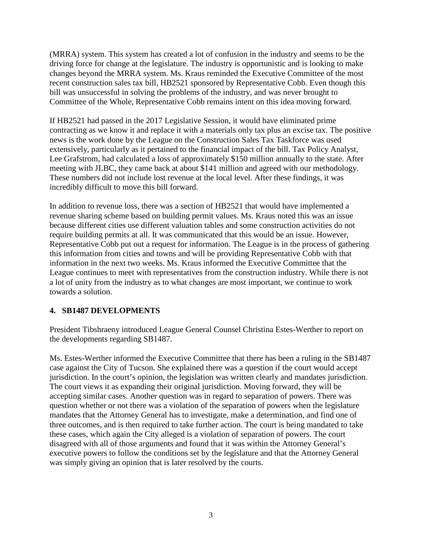(MRRA) system. This system has created a lot of confusion in the industry and seems to be the driving force for change at the legislature. The industry is opportunistic and is looking to make changes beyond the MRRA system. Ms. Kraus reminded the Executive Committee of the most recent construction sales tax bill, HB2521 sponsored by Representative Cobb. Even though this bill was unsuccessful in solving the problems of the industry, and was never brought to Committee of the Whole, Representative Cobb remains intent on this idea moving forward.

If HB2521 had passed in the 2017 Legislative Session, it would have eliminated prime contracting as we know it and replace it with a materials only tax plus an excise tax. The positive news is the work done by the League on the Construction Sales Tax Taskforce was used extensively, particularly as it pertained to the financial impact of the bill. Tax Policy Analyst, Lee Grafstrom, had calculated a loss of approximately \$150 million annually to the state. After meeting with JLBC, they came back at about \$141 million and agreed with our methodology. These numbers did not include lost revenue at the local level. After these findings, it was incredibly difficult to move this bill forward.

In addition to revenue loss, there was a section of HB2521 that would have implemented a revenue sharing scheme based on building permit values. Ms. Kraus noted this was an issue because different cities use different valuation tables and some construction activities do not require building permits at all. It was communicated that this would be an issue. However, Representative Cobb put out a request for information. The League is in the process of gathering this information from cities and towns and will be providing Representative Cobb with that information in the next two weeks. Ms. Kraus informed the Executive Committee that the League continues to meet with representatives from the construction industry. While there is not a lot of unity from the industry as to what changes are most important, we continue to work towards a solution.

# **4. SB1487 DEVELOPMENTS**

President Tibshraeny introduced League General Counsel Christina Estes-Werther to report on the developments regarding SB1487.

Ms. Estes-Werther informed the Executive Committee that there has been a ruling in the SB1487 case against the City of Tucson. She explained there was a question if the court would accept jurisdiction. In the court's opinion, the legislation was written clearly and mandates jurisdiction. The court views it as expanding their original jurisdiction. Moving forward, they will be accepting similar cases. Another question was in regard to separation of powers. There was question whether or not there was a violation of the separation of powers when the legislature mandates that the Attorney General has to investigate, make a determination, and find one of three outcomes, and is then required to take further action. The court is being mandated to take these cases, which again the City alleged is a violation of separation of powers. The court disagreed with all of those arguments and found that it was within the Attorney General's executive powers to follow the conditions set by the legislature and that the Attorney General was simply giving an opinion that is later resolved by the courts.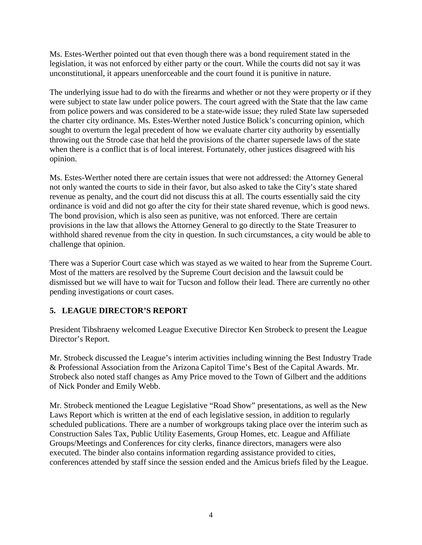Ms. Estes-Werther pointed out that even though there was a bond requirement stated in the legislation, it was not enforced by either party or the court. While the courts did not say it was unconstitutional, it appears unenforceable and the court found it is punitive in nature.

The underlying issue had to do with the firearms and whether or not they were property or if they were subject to state law under police powers. The court agreed with the State that the law came from police powers and was considered to be a state-wide issue; they ruled State law superseded the charter city ordinance. Ms. Estes-Werther noted Justice Bolick's concurring opinion, which sought to overturn the legal precedent of how we evaluate charter city authority by essentially throwing out the Strode case that held the provisions of the charter supersede laws of the state when there is a conflict that is of local interest. Fortunately, other justices disagreed with his opinion.

Ms. Estes-Werther noted there are certain issues that were not addressed: the Attorney General not only wanted the courts to side in their favor, but also asked to take the City's state shared revenue as penalty, and the court did not discuss this at all. The courts essentially said the city ordinance is void and did not go after the city for their state shared revenue, which is good news. The bond provision, which is also seen as punitive, was not enforced. There are certain provisions in the law that allows the Attorney General to go directly to the State Treasurer to withhold shared revenue from the city in question. In such circumstances, a city would be able to challenge that opinion.

There was a Superior Court case which was stayed as we waited to hear from the Supreme Court. Most of the matters are resolved by the Supreme Court decision and the lawsuit could be dismissed but we will have to wait for Tucson and follow their lead. There are currently no other pending investigations or court cases.

# **5. LEAGUE DIRECTOR'S REPORT**

President Tibshraeny welcomed League Executive Director Ken Strobeck to present the League Director's Report.

Mr. Strobeck discussed the League's interim activities including winning the Best Industry Trade & Professional Association from the Arizona Capitol Time's Best of the Capital Awards. Mr. Strobeck also noted staff changes as Amy Price moved to the Town of Gilbert and the additions of Nick Ponder and Emily Webb.

Mr. Strobeck mentioned the League Legislative "Road Show" presentations, as well as the New Laws Report which is written at the end of each legislative session, in addition to regularly scheduled publications. There are a number of workgroups taking place over the interim such as Construction Sales Tax, Public Utility Easements, Group Homes, etc. League and Affiliate Groups/Meetings and Conferences for city clerks, finance directors, managers were also executed. The binder also contains information regarding assistance provided to cities, conferences attended by staff since the session ended and the Amicus briefs filed by the League.